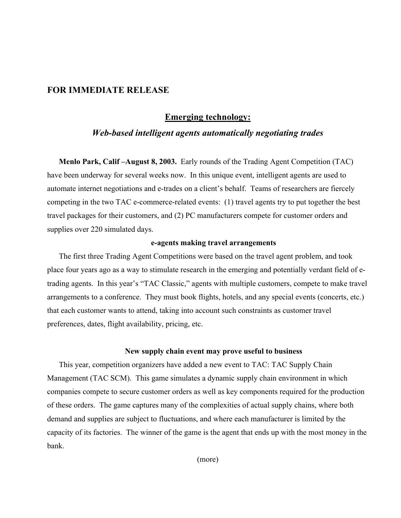## **FOR IMMEDIATE RELEASE**

## **Emerging technology:**

# *Web-based intelligent agents automatically negotiating trades*

**Menlo Park, Calif –August 8, 2003.** Early rounds of the Trading Agent Competition (TAC) have been underway for several weeks now. In this unique event, intelligent agents are used to automate internet negotiations and e-trades on a client's behalf. Teams of researchers are fiercely competing in the two TAC e-commerce-related events: (1) travel agents try to put together the best travel packages for their customers, and (2) PC manufacturers compete for customer orders and supplies over 220 simulated days.

### **e-agents making travel arrangements**

The first three Trading Agent Competitions were based on the travel agent problem, and took place four years ago as a way to stimulate research in the emerging and potentially verdant field of etrading agents. In this year's "TAC Classic," agents with multiple customers, compete to make travel arrangements to a conference. They must book flights, hotels, and any special events (concerts, etc.) that each customer wants to attend, taking into account such constraints as customer travel preferences, dates, flight availability, pricing, etc.

#### **New supply chain event may prove useful to business**

This year, competition organizers have added a new event to TAC: TAC Supply Chain Management (TAC SCM). This game simulates a dynamic supply chain environment in which companies compete to secure customer orders as well as key components required for the production of these orders. The game captures many of the complexities of actual supply chains, where both demand and supplies are subject to fluctuations, and where each manufacturer is limited by the capacity of its factories. The winner of the game is the agent that ends up with the most money in the bank.

(more)